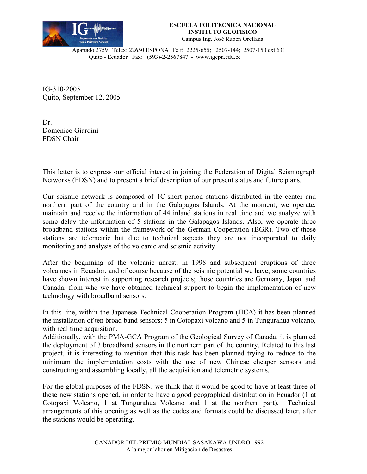

## **ESCUELA POLITECNICA NACIONAL INSTITUTO GEOFISICO** Campus Ing. José Rubén Orellana

Apartado 2759 Telex: 22650 ESPONA Telf: 2225-655; 2507-144; 2507-150 ext 631 Quito - Ecuador Fax: (593)-2-2567847 - www.igepn.edu.ec

IG-310-2005 Quito, September 12, 2005

Dr. Domenico Giardini FDSN Chair

This letter is to express our official interest in joining the Federation of Digital Seismograph Networks (FDSN) and to present a brief description of our present status and future plans.

Our seismic network is composed of 1C-short period stations distributed in the center and northern part of the country and in the Galapagos Islands. At the moment, we operate, maintain and receive the information of 44 inland stations in real time and we analyze with some delay the information of 5 stations in the Galapagos Islands. Also, we operate three broadband stations within the framework of the German Cooperation (BGR). Two of those stations are telemetric but due to technical aspects they are not incorporated to daily monitoring and analysis of the volcanic and seismic activity.

After the beginning of the volcanic unrest, in 1998 and subsequent eruptions of three volcanoes in Ecuador, and of course because of the seismic potential we have, some countries have shown interest in supporting research projects; those countries are Germany, Japan and Canada, from who we have obtained technical support to begin the implementation of new technology with broadband sensors.

In this line, within the Japanese Technical Cooperation Program (JICA) it has been planned the installation of ten broad band sensors: 5 in Cotopaxi volcano and 5 in Tungurahua volcano, with real time acquisition.

Additionally, with the PMA-GCA Program of the Geological Survey of Canada, it is planned the deployment of 3 broadband sensors in the northern part of the country. Related to this last project, it is interesting to mention that this task has been planned trying to reduce to the minimum the implementation costs with the use of new Chinese cheaper sensors and constructing and assembling locally, all the acquisition and telemetric systems.

For the global purposes of the FDSN, we think that it would be good to have at least three of these new stations opened, in order to have a good geographical distribution in Ecuador (1 at Cotopaxi Volcano, 1 at Tungurahua Volcano and 1 at the northern part). Technical arrangements of this opening as well as the codes and formats could be discussed later, after the stations would be operating.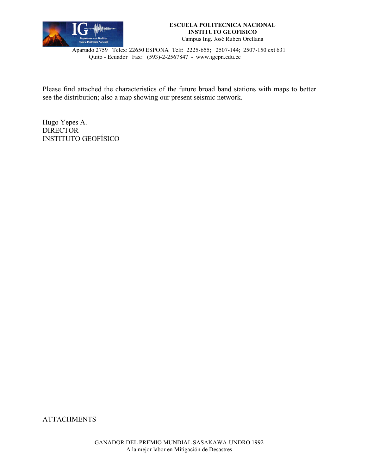

## **ESCUELA POLITECNICA NACIONAL INSTITUTO GEOFISICO** Campus Ing. José Rubén Orellana

Apartado 2759 Telex: 22650 ESPONA Telf: 2225-655; 2507-144; 2507-150 ext 631 Quito - Ecuador Fax: (593)-2-2567847 - www.igepn.edu.ec

Please find attached the characteristics of the future broad band stations with maps to better see the distribution; also a map showing our present seismic network.

Hugo Yepes A. **DIRECTOR** INSTITUTO GEOFÍSICO

**ATTACHMENTS**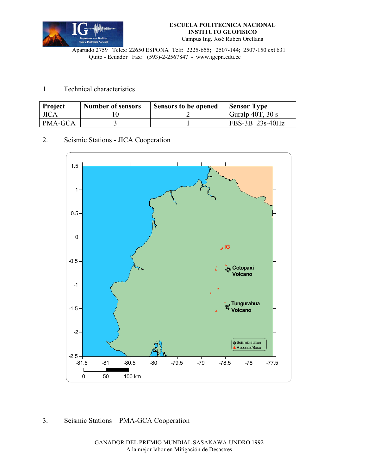

Apartado 2759 Telex: 22650 ESPONA Telf: 2225-655; 2507-144; 2507-150 ext 631 Quito - Ecuador Fax: (593)-2-2567847 - www.igepn.edu.ec

## 1. Technical characteristics

| <b>Project</b> | <b>Number of sensors</b> | Sensors to be opened | <b>Sensor</b> Type    |
|----------------|--------------------------|----------------------|-----------------------|
| <b>JICA</b>    |                          |                      | Guralp $40T$ , $30 s$ |
| PMA-GCA        |                          |                      | FBS-3B 23s-40Hz       |

2. Seismic Stations - JICA Cooperation



## 3. Seismic Stations – PMA-GCA Cooperation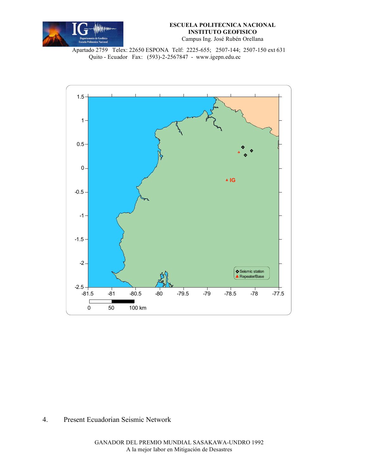

Apartado 2759 Telex: 22650 ESPONA Telf: 2225-655; 2507-144; 2507-150 ext 631 Quito - Ecuador Fax: (593)-2-2567847 - www.igepn.edu.ec



4. Present Ecuadorian Seismic Network